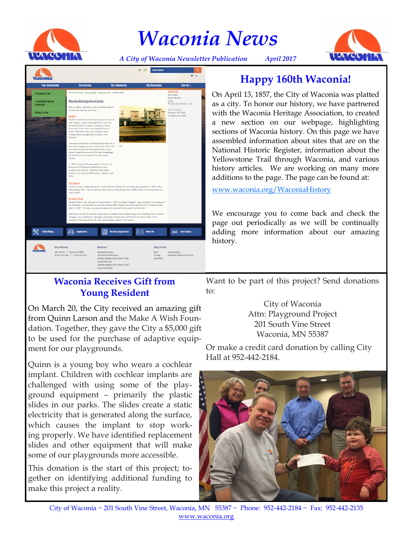

# *Waconia News*



*A City of Waconia Newsletter Publication April 2017*



## **Happy 160th Waconia!**

On April 13, 1857, the City of Waconia was platted as a city. To honor our history, we have partnered with the Waconia Heritage Association, to created a new section on our webpage, highlighting sections of Waconia history. On this page we have assembled information about sites that are on the National Historic Register, information about the Yellowstone Trail through Waconia, and various history articles. We are working on many more additions to the page. The page can be found at:

[www.waconia.org/WaconiaHistory](http://www.waconia.org/WaconiaHistory)

We encourage you to come back and check the page out periodically as we will be continually adding more information about our amazing history.

### **Waconia Receives Gift from Young Resident**

On March 20, the City received an amazing gift from Quinn Larson and the Make A Wish Foundation. Together, they gave the City a \$5,000 gift to be used for the purchase of adaptive equipment for our playgrounds.

Quinn is a young boy who wears a cochlear implant. Children with cochlear implants are challenged with using some of the playground equipment – primarily the plastic slides in our parks. The slides create a static electricity that is generated along the surface, which causes the implant to stop working properly. We have identified replacement slides and other equipment that will make some of our playgrounds more accessible.

This donation is the start of this project; together on identifying additional funding to make this project a reality.

Want to be part of this project? Send donations to:

> City of Waconia Attn: Playground Project 201 South Vine Street Waconia, MN 55387

Or make a credit card donation by calling City Hall at 952-442-2184.